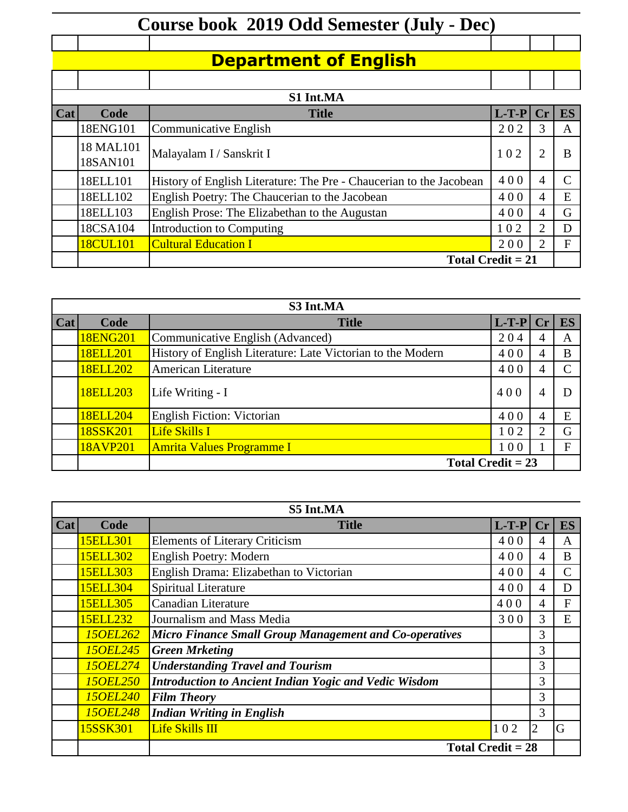## **Course book 2019 Odd Semester (July - Dec)**

## **Department of English**

| <u>Срагипски от Епенон</u> |                       |                                                                     |         |                |               |  |
|----------------------------|-----------------------|---------------------------------------------------------------------|---------|----------------|---------------|--|
|                            |                       |                                                                     |         |                |               |  |
|                            |                       | S1 Int.MA                                                           |         |                |               |  |
| Cat                        | Code                  | <b>Title</b>                                                        | $L-T-P$ |                | <b>ES</b>     |  |
|                            | 18ENG101              | Communicative English                                               | 202     | 3              | A             |  |
|                            | 18 MAL101<br>18SAN101 | Malayalam I / Sanskrit I                                            | 102     | $\overline{2}$ | B             |  |
|                            | 18ELL101              | History of English Literature: The Pre - Chaucerian to the Jacobean | 400     | 4              | $\mathcal{C}$ |  |
|                            | 18ELL102              | English Poetry: The Chaucerian to the Jacobean                      | 400     | 4              | E             |  |
|                            | 18ELL103              | English Prose: The Elizabethan to the Augustan                      | 400     | 4              | G             |  |
|                            | 18CSA104              | Introduction to Computing                                           | 102     |                | D             |  |
|                            | 18CUL101              | <b>Cultural Education I</b>                                         | 200     |                | F             |  |
|                            |                       | Total Credit $= 21$                                                 |         |                |               |  |

| S3 Int.MA |                 |                                                             |            |                             |    |  |
|-----------|-----------------|-------------------------------------------------------------|------------|-----------------------------|----|--|
| Cat       | Code            | <b>Title</b>                                                | $L-T-P Cr$ |                             | ES |  |
|           | 18ENG201        | Communicative English (Advanced)                            | 204        | 4                           | A  |  |
|           | 18ELL201        | History of English Literature: Late Victorian to the Modern | 400        | 4                           | B  |  |
|           | <b>18ELL202</b> | <b>American Literature</b>                                  | 400        |                             |    |  |
|           | <b>18ELL203</b> | Life Writing - I                                            | 400        |                             |    |  |
|           | <b>18ELL204</b> | <b>English Fiction: Victorian</b>                           | 400        |                             | E  |  |
|           | 18SSK201        | Life Skills I                                               | 102        | $\mathcal{D}_{\mathcal{L}}$ | G  |  |
|           | 18AVP201        | <b>Amrita Values Programme I</b>                            | 100        |                             | F  |  |
|           |                 | Total Credit $= 23$                                         |            |                             |    |  |

| S5 Int.MA |                 |                                                        |         |                 |               |  |
|-----------|-----------------|--------------------------------------------------------|---------|-----------------|---------------|--|
| Cat       | Code            | <b>Title</b>                                           | $L-T-P$ | Cr <sub>l</sub> | <b>ES</b>     |  |
|           | 15ELL301        | <b>Elements of Literary Criticism</b>                  | 400     | 4               | A             |  |
|           | <b>15ELL302</b> | <b>English Poetry: Modern</b>                          | 400     | 4               | B             |  |
|           | 15ELL303        | English Drama: Elizabethan to Victorian                | 400     | 4               | $\mathcal{C}$ |  |
|           | 15ELL304        | Spiritual Literature                                   | 400     | 4               | D             |  |
|           | 15ELL305        | <b>Canadian Literature</b>                             | 400     | 4               | $\mathbf F$   |  |
|           | 15ELL232        | Journalism and Mass Media                              | 300     | 3               | E             |  |
|           | <b>150EL262</b> | Micro Finance Small Group Management and Co-operatives |         | 3               |               |  |
|           | <b>150EL245</b> | <b>Green Mrketing</b>                                  |         | 3               |               |  |
|           | <b>150EL274</b> | <b>Understanding Travel and Tourism</b>                |         | 3               |               |  |
|           | <b>150EL250</b> | Introduction to Ancient Indian Yogic and Vedic Wisdom  |         | 3               |               |  |
|           | <b>150EL240</b> | <b>Film Theory</b>                                     |         | 3               |               |  |
|           | <b>150EL248</b> | <b>Indian Writing in English</b>                       |         | 3               |               |  |
|           | 15SSK301        | Life Skills III                                        | 102     | $\overline{2}$  | G             |  |
|           |                 | Total Credit $= 28$                                    |         |                 |               |  |